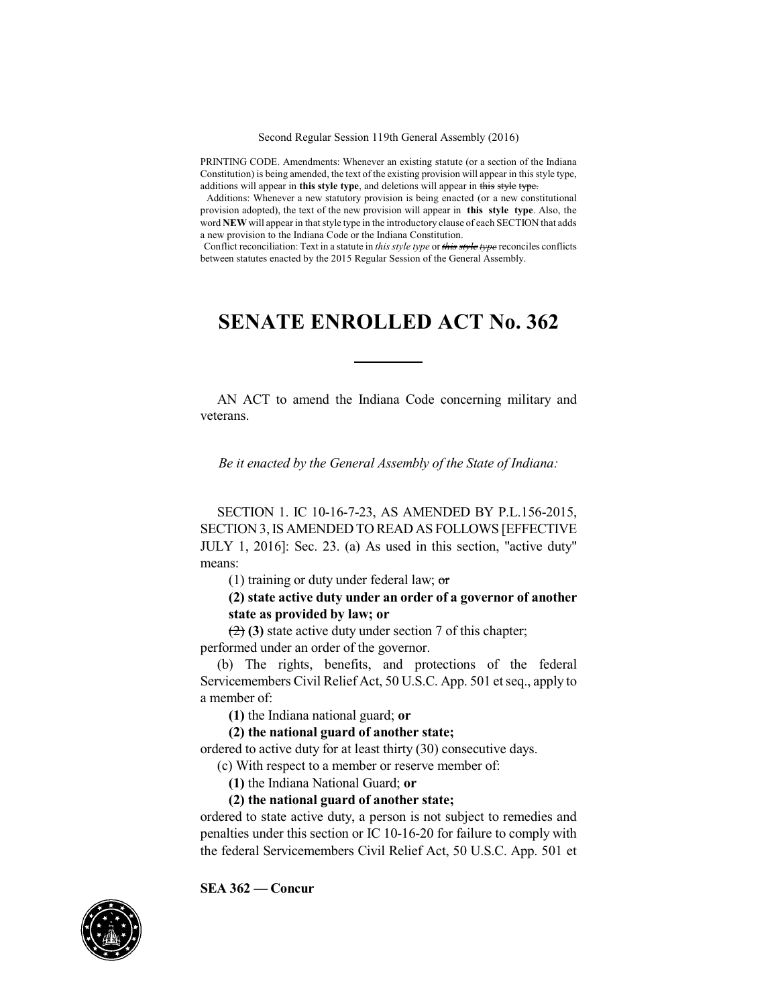Second Regular Session 119th General Assembly (2016)

PRINTING CODE. Amendments: Whenever an existing statute (or a section of the Indiana Constitution) is being amended, the text of the existing provision will appear in this style type, additions will appear in **this style type**, and deletions will appear in this style type.

Additions: Whenever a new statutory provision is being enacted (or a new constitutional provision adopted), the text of the new provision will appear in **this style type**. Also, the word **NEW** will appear in that style type in the introductory clause of each SECTION that adds a new provision to the Indiana Code or the Indiana Constitution.

Conflict reconciliation: Text in a statute in *this style type* or *this style type* reconciles conflicts between statutes enacted by the 2015 Regular Session of the General Assembly.

## **SENATE ENROLLED ACT No. 362**

AN ACT to amend the Indiana Code concerning military and veterans.

*Be it enacted by the General Assembly of the State of Indiana:*

SECTION 1. IC 10-16-7-23, AS AMENDED BY P.L.156-2015, SECTION 3,IS AMENDED TO READ AS FOLLOWS [EFFECTIVE JULY 1, 2016]: Sec. 23. (a) As used in this section, "active duty" means:

(1) training or duty under federal law;  $\sigma$ 

## **(2) state active duty under an order of a governor of another state as provided by law; or**

(2) **(3)** state active duty under section 7 of this chapter; performed under an order of the governor.

(b) The rights, benefits, and protections of the federal Servicemembers Civil Relief Act, 50 U.S.C. App. 501 et seq., apply to a member of:

**(1)** the Indiana national guard; **or**

**(2) the national guard of another state;**

ordered to active duty for at least thirty (30) consecutive days.

(c) With respect to a member or reserve member of:

**(1)** the Indiana National Guard; **or**

**(2) the national guard of another state;**

ordered to state active duty, a person is not subject to remedies and penalties under this section or IC 10-16-20 for failure to comply with the federal Servicemembers Civil Relief Act, 50 U.S.C. App. 501 et



**SEA 362 — Concur**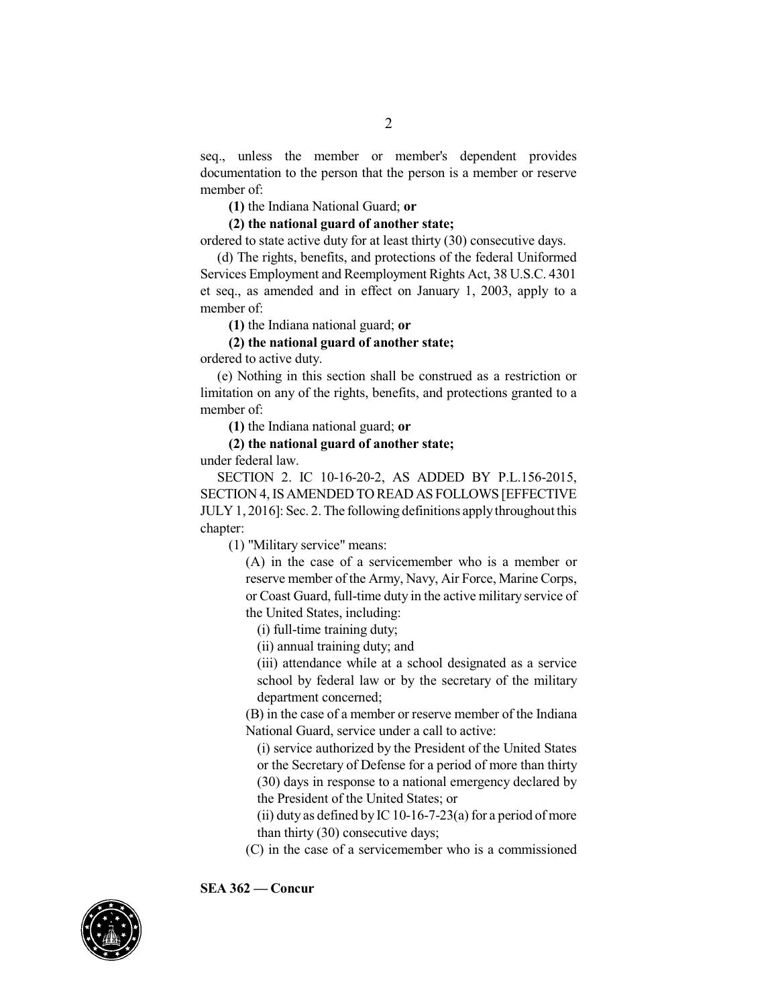seq., unless the member or member's dependent provides documentation to the person that the person is a member or reserve member of:

**(1)** the Indiana National Guard; **or**

**(2) the national guard of another state;**

ordered to state active duty for at least thirty (30) consecutive days.

(d) The rights, benefits, and protections of the federal Uniformed Services Employment and Reemployment Rights Act, 38 U.S.C. 4301 et seq., as amended and in effect on January 1, 2003, apply to a member of:

**(1)** the Indiana national guard; **or**

## **(2) the national guard of another state;**

ordered to active duty.

(e) Nothing in this section shall be construed as a restriction or limitation on any of the rights, benefits, and protections granted to a member of:

**(1)** the Indiana national guard; **or**

## **(2) the national guard of another state;**

under federal law.

SECTION 2. IC 10-16-20-2, AS ADDED BY P.L.156-2015, SECTION 4, ISAMENDED TO READ AS FOLLOWS [EFFECTIVE JULY1, 2016]: Sec. 2.The following definitions applythroughout this chapter:

(1) "Military service" means:

(A) in the case of a servicemember who is a member or reserve member of the Army, Navy, Air Force, Marine Corps, or Coast Guard, full-time duty in the active military service of the United States, including:

(i) full-time training duty;

(ii) annual training duty; and

(iii) attendance while at a school designated as a service school by federal law or by the secretary of the military department concerned;

(B) in the case of a member or reserve member of the Indiana National Guard, service under a call to active:

(i) service authorized by the President of the United States or the Secretary of Defense for a period of more than thirty (30) days in response to a national emergency declared by the President of the United States; or

(ii) duty as defined by IC 10-16-7-23(a) for a period of more than thirty (30) consecutive days;

(C) in the case of a servicemember who is a commissioned

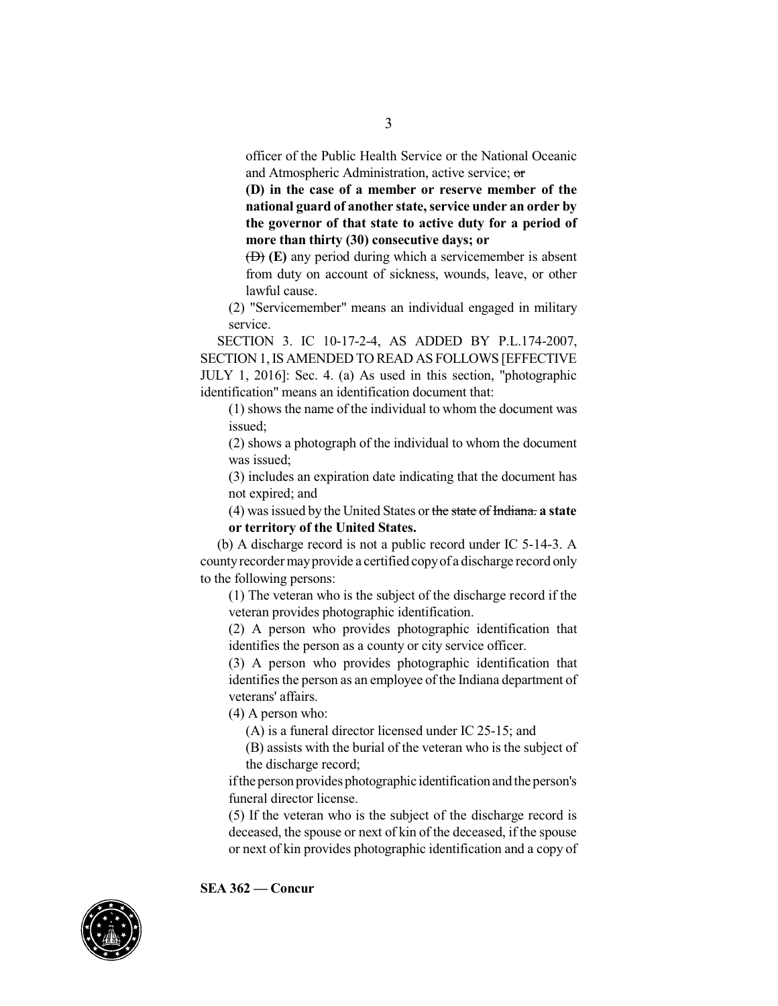officer of the Public Health Service or the National Oceanic and Atmospheric Administration, active service; or

**(D) in the case of a member or reserve member of the national guard of another state,service under an order by the governor of that state to active duty for a period of more than thirty (30) consecutive days; or**

(D) **(E)** any period during which a servicemember is absent from duty on account of sickness, wounds, leave, or other lawful cause.

(2) "Servicemember" means an individual engaged in military service.

SECTION 3. IC 10-17-2-4, AS ADDED BY P.L.174-2007, SECTION 1,IS AMENDED TO READ AS FOLLOWS [EFFECTIVE JULY 1, 2016]: Sec. 4. (a) As used in this section, "photographic identification" means an identification document that:

(1) shows the name of the individual to whom the document was issued;

(2) shows a photograph of the individual to whom the document was issued;

(3) includes an expiration date indicating that the document has not expired; and

(4) wasissued by the United States or the state of Indiana. **a state or territory of the United States.**

(b) A discharge record is not a public record under IC 5-14-3. A countyrecordermayprovide a certified copyof a discharge record only to the following persons:

(1) The veteran who is the subject of the discharge record if the veteran provides photographic identification.

(2) A person who provides photographic identification that identifies the person as a county or city service officer.

(3) A person who provides photographic identification that identifies the person as an employee of the Indiana department of veterans' affairs.

(4) A person who:

(A) is a funeral director licensed under IC 25-15; and

(B) assists with the burial of the veteran who is the subject of the discharge record;

ifthe person provides photographic identification and the person's funeral director license.

(5) If the veteran who is the subject of the discharge record is deceased, the spouse or next of kin of the deceased, if the spouse or next of kin provides photographic identification and a copy of



**SEA 362 — Concur**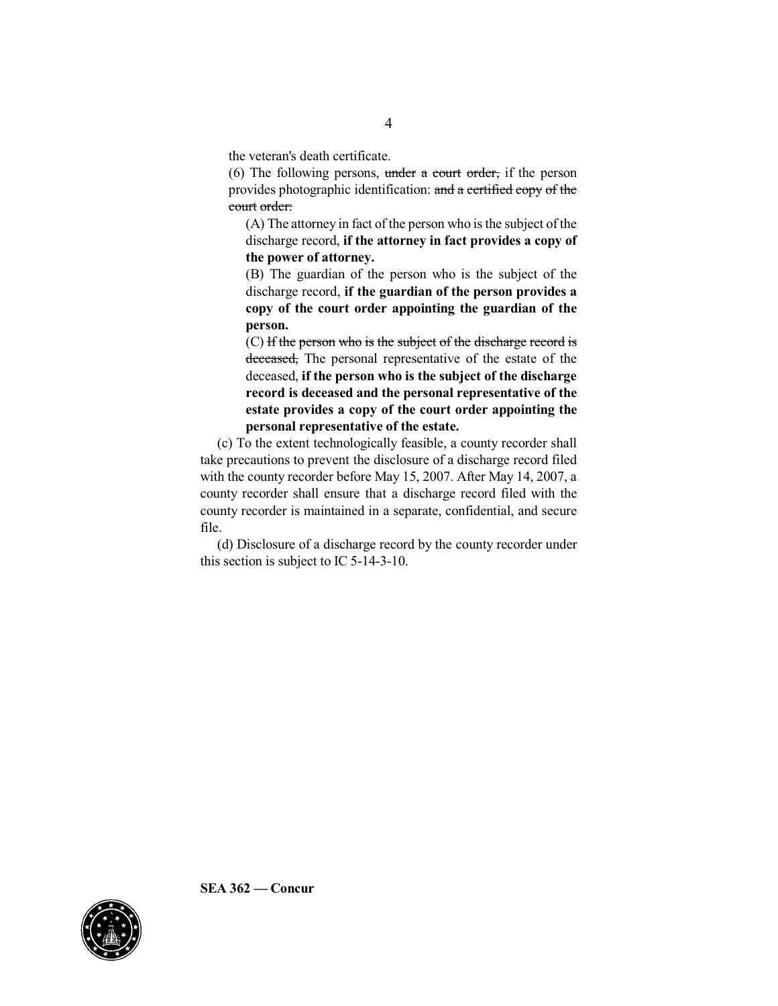the veteran's death certificate.

(6) The following persons, under a court order, if the person provides photographic identification: and a certified copy of the court order:

(A) The attorney in fact of the person who is the subject of the discharge record, **if the attorney in fact provides a copy of the power of attorney.**

(B) The guardian of the person who is the subject of the discharge record, **if the guardian of the person provides a copy of the court order appointing the guardian of the person.**

(C) If the person who is the subject of the discharge record is deceased, The personal representative of the estate of the deceased, **if the person who is the subject of the discharge record is deceased and the personal representative of the estate provides a copy of the court order appointing the personal representative of the estate.**

(c) To the extent technologically feasible, a county recorder shall take precautions to prevent the disclosure of a discharge record filed with the county recorder before May 15, 2007. After May 14, 2007, a county recorder shall ensure that a discharge record filed with the county recorder is maintained in a separate, confidential, and secure file.

(d) Disclosure of a discharge record by the county recorder under this section is subject to IC 5-14-3-10.